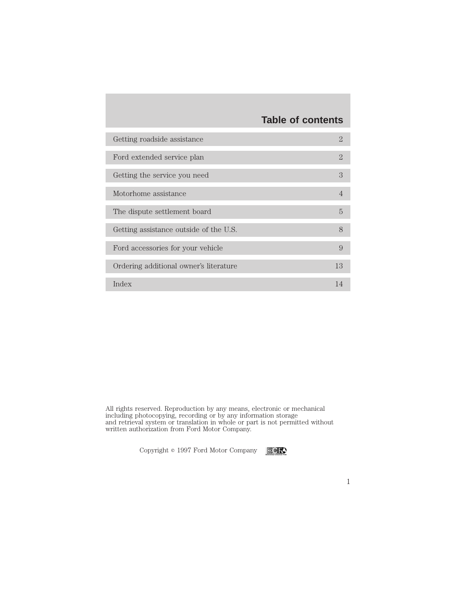# **Table of contents**

| Getting roadside assistance            | $\mathcal{D}$ |
|----------------------------------------|---------------|
| Ford extended service plan             | $\mathcal{D}$ |
| Getting the service you need           | 3             |
| Motorhome assistance                   | 4             |
| The dispute settlement board           | 5             |
| Getting assistance outside of the U.S. | 8             |
| Ford accessories for your vehicle      | 9             |
| Ordering additional owner's literature | 13            |
| Index                                  | 14            |

All rights reserved. Reproduction by any means, electronic or mechanical including photocopying, recording or by any information storage and retrieval system or translation in whole or part is not permitted without written authorization from Ford Motor Company.

Copyright  $\circ$  1997 Ford Motor Company **ECF** 

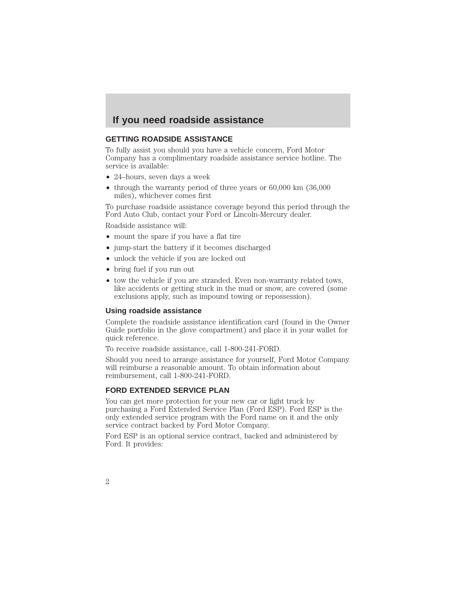### **If you need roadside assistance**

### **GETTING ROADSIDE ASSISTANCE**

To fully assist you should you have a vehicle concern, Ford Motor Company has a complimentary roadside assistance service hotline. The service is available:

- 24–hours, seven days a week
- through the warranty period of three years or 60,000 km (36,000) miles), whichever comes first

To purchase roadside assistance coverage beyond this period through the Ford Auto Club, contact your Ford or Lincoln-Mercury dealer.

Roadside assistance will:

- mount the spare if you have a flat tire
- jump-start the battery if it becomes discharged
- unlock the vehicle if you are locked out
- bring fuel if you run out
- tow the vehicle if you are stranded. Even non-warranty related tows, like accidents or getting stuck in the mud or snow, are covered (some exclusions apply, such as impound towing or repossession).

#### **Using roadside assistance**

Complete the roadside assistance identification card (found in the Owner Guide portfolio in the glove compartment) and place it in your wallet for quick reference.

To receive roadside assistance, call 1-800-241-FORD.

Should you need to arrange assistance for yourself, Ford Motor Company will reimburse a reasonable amount. To obtain information about reimbursement, call 1-800-241-FORD.

#### **FORD EXTENDED SERVICE PLAN**

You can get more protection for your new car or light truck by purchasing a Ford Extended Service Plan (Ford ESP). Ford ESP is the only extended service program with the Ford name on it and the only service contract backed by Ford Motor Company.

Ford ESP is an optional service contract, backed and administered by Ford. It provides:

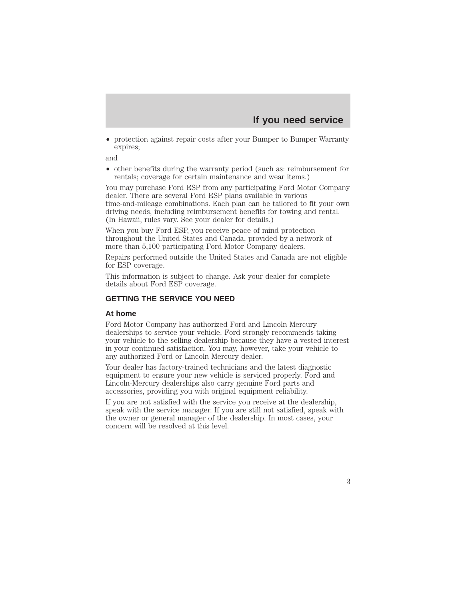### **If you need service**

3

• protection against repair costs after your Bumper to Bumper Warranty expires;

and

• other benefits during the warranty period (such as: reimbursement for rentals; coverage for certain maintenance and wear items.)

You may purchase Ford ESP from any participating Ford Motor Company dealer. There are several Ford ESP plans available in various time-and-mileage combinations. Each plan can be tailored to fit your own driving needs, including reimbursement benefits for towing and rental. (In Hawaii, rules vary. See your dealer for details.)

When you buy Ford ESP, you receive peace-of-mind protection throughout the United States and Canada, provided by a network of more than 5,100 participating Ford Motor Company dealers.

Repairs performed outside the United States and Canada are not eligible for ESP coverage.

This information is subject to change. Ask your dealer for complete details about Ford ESP coverage.

### **GETTING THE SERVICE YOU NEED**

#### **At home**

Ford Motor Company has authorized Ford and Lincoln-Mercury dealerships to service your vehicle. Ford strongly recommends taking your vehicle to the selling dealership because they have a vested interest in your continued satisfaction. You may, however, take your vehicle to any authorized Ford or Lincoln-Mercury dealer.

Your dealer has factory-trained technicians and the latest diagnostic equipment to ensure your new vehicle is serviced properly. Ford and Lincoln-Mercury dealerships also carry genuine Ford parts and accessories, providing you with original equipment reliability.

If you are not satisfied with the service you receive at the dealership, speak with the service manager. If you are still not satisfied, speak with the owner or general manager of the dealership. In most cases, your concern will be resolved at this level.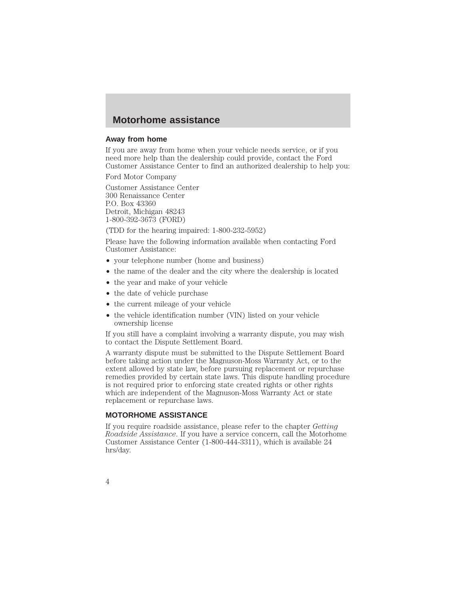### **Motorhome assistance**

#### **Away from home**

If you are away from home when your vehicle needs service, or if you need more help than the dealership could provide, contact the Ford Customer Assistance Center to find an authorized dealership to help you:

Ford Motor Company

Customer Assistance Center 300 Renaissance Center P.O. Box 43360 Detroit, Michigan 48243 1-800-392-3673 (FORD)

(TDD for the hearing impaired: 1-800-232-5952)

Please have the following information available when contacting Ford Customer Assistance:

- your telephone number (home and business)
- the name of the dealer and the city where the dealership is located
- the year and make of your vehicle
- the date of vehicle purchase
- the current mileage of your vehicle
- the vehicle identification number (VIN) listed on your vehicle ownership license

If you still have a complaint involving a warranty dispute, you may wish to contact the Dispute Settlement Board.

A warranty dispute must be submitted to the Dispute Settlement Board before taking action under the Magnuson-Moss Warranty Act, or to the extent allowed by state law, before pursuing replacement or repurchase remedies provided by certain state laws. This dispute handling procedure is not required prior to enforcing state created rights or other rights which are independent of the Magnuson-Moss Warranty Act or state replacement or repurchase laws.

### **MOTORHOME ASSISTANCE**

If you require roadside assistance, please refer to the chapter *Getting Roadside Assistance*. If you have a service concern, call the Motorhome Customer Assistance Center (1-800-444-3311), which is available 24 hrs/day.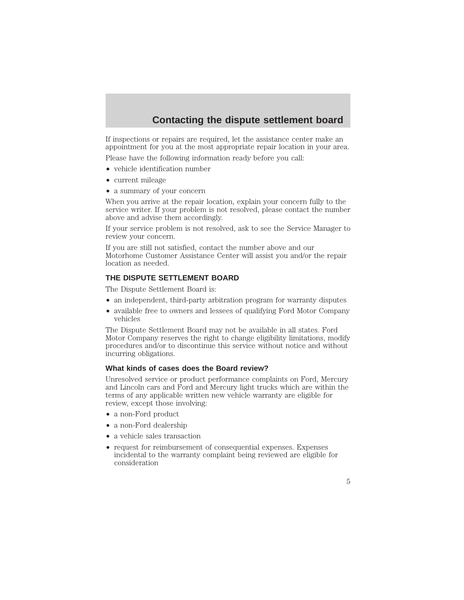# **Contacting the dispute settlement board**

If inspections or repairs are required, let the assistance center make an appointment for you at the most appropriate repair location in your area.

Please have the following information ready before you call:

- vehicle identification number
- current mileage
- a summary of your concern

When you arrive at the repair location, explain your concern fully to the service writer. If your problem is not resolved, please contact the number above and advise them accordingly.

If your service problem is not resolved, ask to see the Service Manager to review your concern.

If you are still not satisfied, contact the number above and our Motorhome Customer Assistance Center will assist you and/or the repair location as needed.

### **THE DISPUTE SETTLEMENT BOARD**

The Dispute Settlement Board is:

- an independent, third-party arbitration program for warranty disputes
- available free to owners and lessees of qualifying Ford Motor Company vehicles

The Dispute Settlement Board may not be available in all states. Ford Motor Company reserves the right to change eligibility limitations, modify procedures and/or to discontinue this service without notice and without incurring obligations.

### **What kinds of cases does the Board review?**

Unresolved service or product performance complaints on Ford, Mercury and Lincoln cars and Ford and Mercury light trucks which are within the terms of any applicable written new vehicle warranty are eligible for review, except those involving:

- a non-Ford product
- a non-Ford dealership
- a vehicle sales transaction
- request for reimbursement of consequential expenses. Expenses incidental to the warranty complaint being reviewed are eligible for consideration

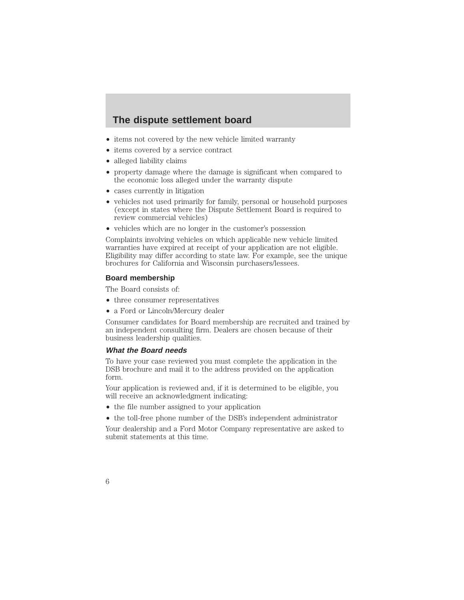### **The dispute settlement board**

- items not covered by the new vehicle limited warranty
- items covered by a service contract
- alleged liability claims
- property damage where the damage is significant when compared to the economic loss alleged under the warranty dispute
- cases currently in litigation
- vehicles not used primarily for family, personal or household purposes (except in states where the Dispute Settlement Board is required to review commercial vehicles)
- vehicles which are no longer in the customer's possession

Complaints involving vehicles on which applicable new vehicle limited warranties have expired at receipt of your application are not eligible. Eligibility may differ according to state law. For example, see the unique brochures for California and Wisconsin purchasers/lessees.

### **Board membership**

The Board consists of:

- three consumer representatives
- a Ford or Lincoln/Mercury dealer

Consumer candidates for Board membership are recruited and trained by an independent consulting firm. Dealers are chosen because of their business leadership qualities.

### **What the Board needs**

To have your case reviewed you must complete the application in the DSB brochure and mail it to the address provided on the application form.

Your application is reviewed and, if it is determined to be eligible, you will receive an acknowledgment indicating:

- the file number assigned to your application
- the toll-free phone number of the DSB's independent administrator

Your dealership and a Ford Motor Company representative are asked to submit statements at this time.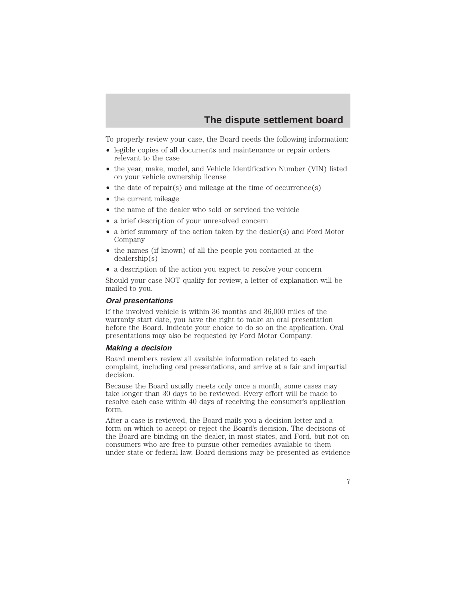# **The dispute settlement board**

To properly review your case, the Board needs the following information:

- legible copies of all documents and maintenance or repair orders relevant to the case
- the year, make, model, and Vehicle Identification Number (VIN) listed on your vehicle ownership license
- the date of repair(s) and mileage at the time of occurrence(s)
- the current mileage
- the name of the dealer who sold or serviced the vehicle
- a brief description of your unresolved concern
- a brief summary of the action taken by the dealer(s) and Ford Motor Company
- the names (if known) of all the people you contacted at the dealership(s)
- a description of the action you expect to resolve your concern

Should your case NOT qualify for review, a letter of explanation will be mailed to you.

### **Oral presentations**

If the involved vehicle is within 36 months and 36,000 miles of the warranty start date, you have the right to make an oral presentation before the Board. Indicate your choice to do so on the application. Oral presentations may also be requested by Ford Motor Company.

#### **Making <sup>a</sup> decision**

Board members review all available information related to each complaint, including oral presentations, and arrive at a fair and impartial decision.

Because the Board usually meets only once a month, some cases may take longer than 30 days to be reviewed. Every effort will be made to resolve each case within 40 days of receiving the consumer's application form.

After a case is reviewed, the Board mails you a decision letter and a form on which to accept or reject the Board's decision. The decisions of the Board are binding on the dealer, in most states, and Ford, but not on consumers who are free to pursue other remedies available to them under state or federal law. Board decisions may be presented as evidence

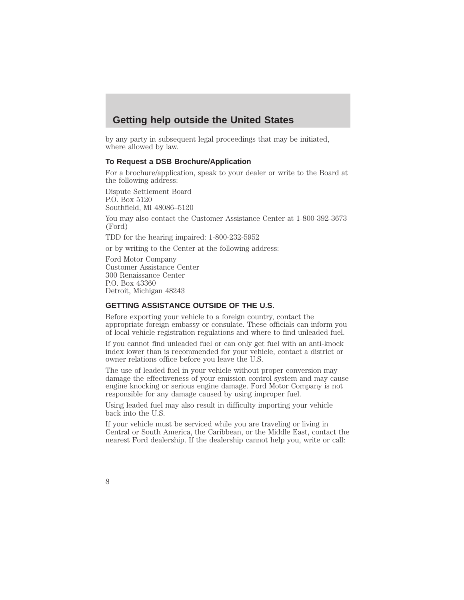### **Getting help outside the United States**

by any party in subsequent legal proceedings that may be initiated, where allowed by law.

### **To Request a DSB Brochure/Application**

For a brochure/application, speak to your dealer or write to the Board at the following address:

Dispute Settlement Board P.O. Box 5120 Southfield, MI 48086–5120

You may also contact the Customer Assistance Center at 1-800-392-3673 (Ford)

TDD for the hearing impaired: 1-800-232-5952

or by writing to the Center at the following address:

Ford Motor Company Customer Assistance Center 300 Renaissance Center P.O. Box 43360 Detroit, Michigan 48243

### **GETTING ASSISTANCE OUTSIDE OF THE U.S.**

Before exporting your vehicle to a foreign country, contact the appropriate foreign embassy or consulate. These officials can inform you of local vehicle registration regulations and where to find unleaded fuel.

If you cannot find unleaded fuel or can only get fuel with an anti-knock index lower than is recommended for your vehicle, contact a district or owner relations office before you leave the U.S.

The use of leaded fuel in your vehicle without proper conversion may damage the effectiveness of your emission control system and may cause engine knocking or serious engine damage. Ford Motor Company is not responsible for any damage caused by using improper fuel.

Using leaded fuel may also result in difficulty importing your vehicle back into the U.S.

If your vehicle must be serviced while you are traveling or living in Central or South America, the Caribbean, or the Middle East, contact the nearest Ford dealership. If the dealership cannot help you, write or call: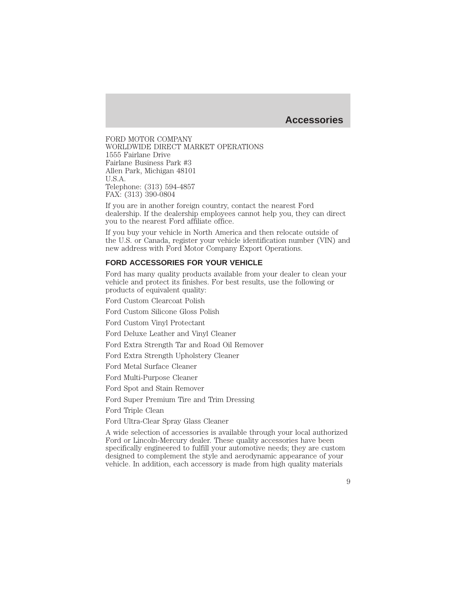### **Accessories**

FORD MOTOR COMPANY WORLDWIDE DIRECT MARKET OPERATIONS 1555 Fairlane Drive Fairlane Business Park #3 Allen Park, Michigan 48101 U.S.A. Telephone: (313) 594-4857 FAX: (313) 390-0804

If you are in another foreign country, contact the nearest Ford dealership. If the dealership employees cannot help you, they can direct you to the nearest Ford affiliate office.

If you buy your vehicle in North America and then relocate outside of the U.S. or Canada, register your vehicle identification number (VIN) and new address with Ford Motor Company Export Operations.

### **FORD ACCESSORIES FOR YOUR VEHICLE**

Ford has many quality products available from your dealer to clean your vehicle and protect its finishes. For best results, use the following or products of equivalent quality:

Ford Custom Clearcoat Polish

Ford Custom Silicone Gloss Polish

Ford Custom Vinyl Protectant

Ford Deluxe Leather and Vinyl Cleaner

Ford Extra Strength Tar and Road Oil Remover

Ford Extra Strength Upholstery Cleaner

Ford Metal Surface Cleaner

Ford Multi-Purpose Cleaner

Ford Spot and Stain Remover

Ford Super Premium Tire and Trim Dressing

Ford Triple Clean

Ford Ultra-Clear Spray Glass Cleaner

A wide selection of accessories is available through your local authorized Ford or Lincoln-Mercury dealer. These quality accessories have been specifically engineered to fulfill your automotive needs; they are custom designed to complement the style and aerodynamic appearance of your vehicle. In addition, each accessory is made from high quality materials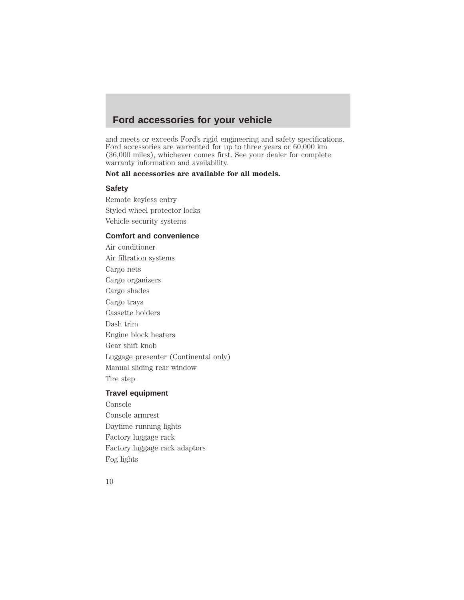# **Ford accessories for your vehicle**

and meets or exceeds Ford's rigid engineering and safety specifications. Ford accessories are warrented for up to three years or 60,000 km (36,000 miles), whichever comes first. See your dealer for complete warranty information and availability.

### **Not all accessories are available for all models.**

### **Safety**

Remote keyless entry Styled wheel protector locks Vehicle security systems

### **Comfort and convenience**

Air conditioner Air filtration systems Cargo nets Cargo organizers Cargo shades Cargo trays Cassette holders Dash trim Engine block heaters Gear shift knob Luggage presenter (Continental only) Manual sliding rear window Tire step

### **Travel equipment**

Console Console armrest Daytime running lights Factory luggage rack Factory luggage rack adaptors Fog lights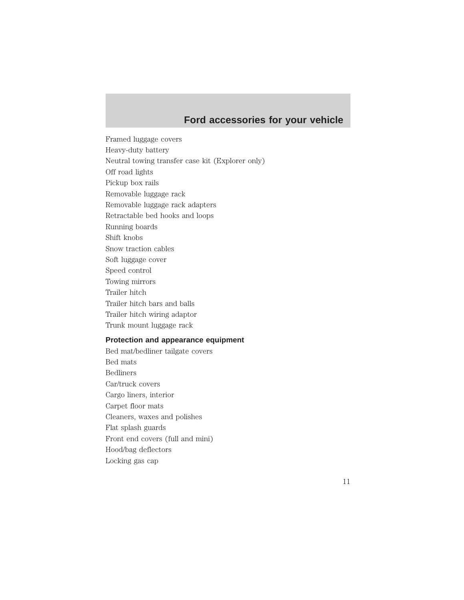# **Ford accessories for your vehicle**

Framed luggage covers Heavy-duty battery Neutral towing transfer case kit (Explorer only) Off road lights Pickup box rails Removable luggage rack Removable luggage rack adapters Retractable bed hooks and loops Running boards Shift knobs Snow traction cables Soft luggage cover Speed control Towing mirrors Trailer hitch Trailer hitch bars and balls Trailer hitch wiring adaptor Trunk mount luggage rack

### **Protection and appearance equipment**

Bed mat/bedliner tailgate covers Bed mats Bedliners Car/truck covers Cargo liners, interior Carpet floor mats Cleaners, waxes and polishes Flat splash guards Front end covers (full and mini) Hood/bag deflectors Locking gas cap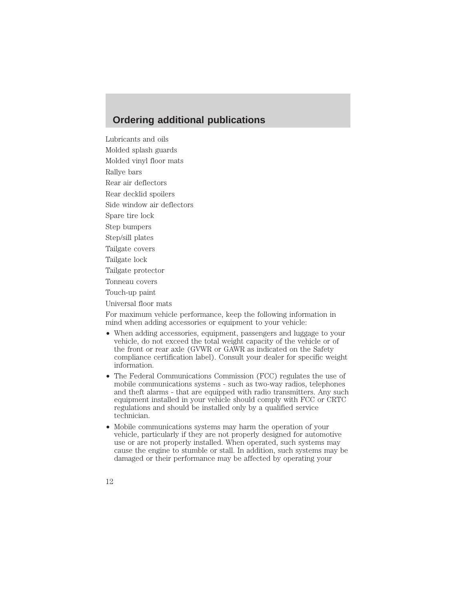### **Ordering additional publications**

Lubricants and oils Molded splash guards Molded vinyl floor mats Rallye bars Rear air deflectors Rear decklid spoilers Side window air deflectors Spare tire lock Step bumpers Step/sill plates Tailgate covers Tailgate lock Tailgate protector Tonneau covers Touch-up paint Universal floor mats For maximum vehicle performance, keep the following information in mind when adding accessories or equipment to your vehicle:

- When adding accessories, equipment, passengers and luggage to your vehicle, do not exceed the total weight capacity of the vehicle or of the front or rear axle (GVWR or GAWR as indicated on the Safety compliance certification label). Consult your dealer for specific weight information.
- The Federal Communications Commission (FCC) regulates the use of mobile communications systems - such as two-way radios, telephones and theft alarms - that are equipped with radio transmitters. Any such equipment installed in your vehicle should comply with FCC or CRTC regulations and should be installed only by a qualified service technician.
- Mobile communications systems may harm the operation of your vehicle, particularly if they are not properly designed for automotive use or are not properly installed. When operated, such systems may cause the engine to stumble or stall. In addition, such systems may be damaged or their performance may be affected by operating your
- 12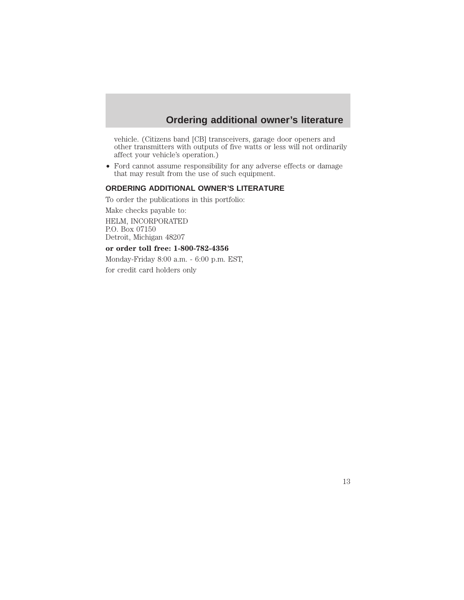# **Ordering additional owner's literature**

vehicle. (Citizens band [CB] transceivers, garage door openers and other transmitters with outputs of five watts or less will not ordinarily affect your vehicle's operation.)

• Ford cannot assume responsibility for any adverse effects or damage that may result from the use of such equipment.

### **ORDERING ADDITIONAL OWNER'S LITERATURE**

To order the publications in this portfolio:

Make checks payable to: HELM, INCORPORATED P.O. Box 07150 Detroit, Michigan 48207

### **or order toll free: 1-800-782-4356**

Monday-Friday 8:00 a.m. - 6:00 p.m. EST, for credit card holders only